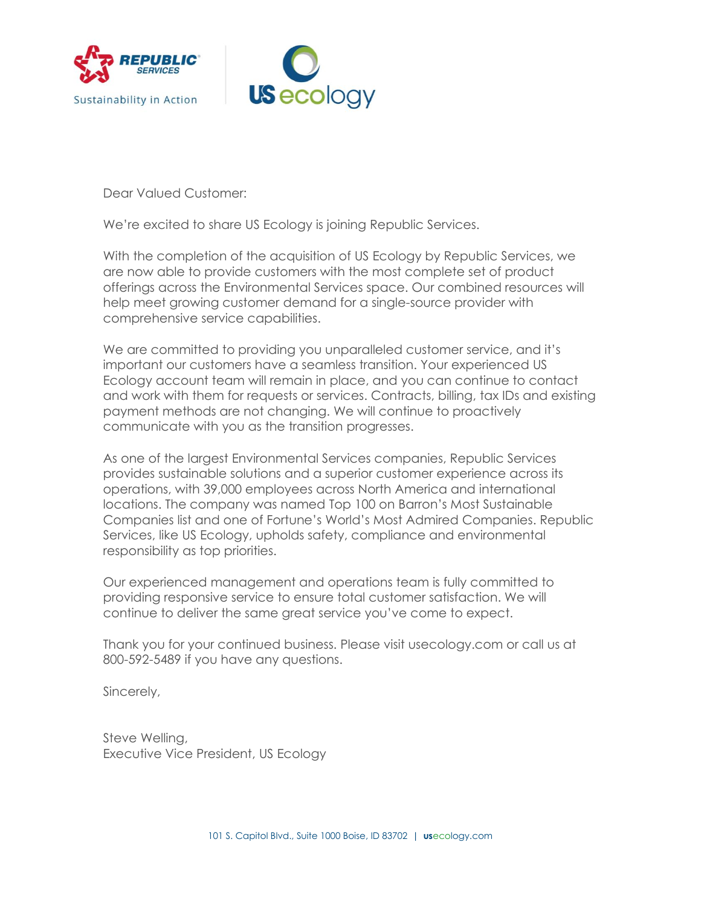



Dear Valued Customer:

We're excited to share US Ecology is joining Republic Services.

With the completion of the acquisition of US Ecology by Republic Services, we are now able to provide customers with the most complete set of product offerings across the Environmental Services space. Our combined resources will help meet growing customer demand for a single-source provider with comprehensive service capabilities.

We are committed to providing you unparalleled customer service, and it's important our customers have a seamless transition. Your experienced US Ecology account team will remain in place, and you can continue to contact and work with them for requests or services. Contracts, billing, tax IDs and existing payment methods are not changing. We will continue to proactively communicate with you as the transition progresses.

As one of the largest Environmental Services companies, Republic Services provides sustainable solutions and a superior customer experience across its operations, with 39,000 employees across North America and international locations. The company was named Top 100 on Barron's Most Sustainable Companies list and one of Fortune's World's Most Admired Companies. Republic Services, like US Ecology, upholds safety, compliance and environmental responsibility as top priorities.

Our experienced management and operations team is fully committed to providing responsive service to ensure total customer satisfaction. We will continue to deliver the same great service you've come to expect.

Thank you for your continued business. Please visit usecology.com or call us at 800-592-5489 if you have any questions.

Sincerely,

Steve Welling, Executive Vice President, US Ecology